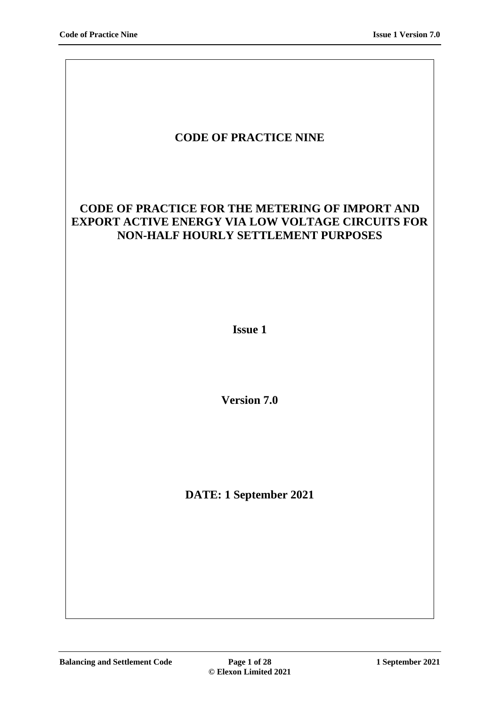| <b>CODE OF PRACTICE NINE</b>                                                                                                                              |
|-----------------------------------------------------------------------------------------------------------------------------------------------------------|
| <b>CODE OF PRACTICE FOR THE METERING OF IMPORT AND</b><br><b>EXPORT ACTIVE ENERGY VIA LOW VOLTAGE CIRCUITS FOR</b><br>NON-HALF HOURLY SETTLEMENT PURPOSES |
| <b>Issue 1</b>                                                                                                                                            |
| <b>Version 7.0</b>                                                                                                                                        |
| DATE: 1 September 2021                                                                                                                                    |
|                                                                                                                                                           |

 $\overline{\phantom{a}}$ 

 $\overline{\phantom{a}}$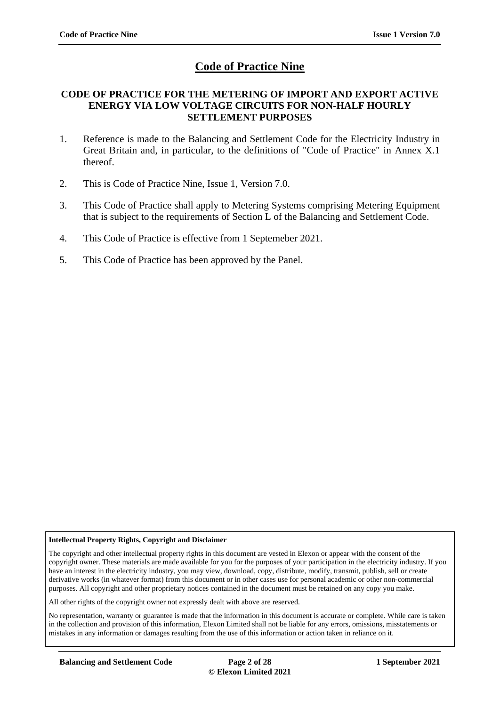# **Code of Practice Nine**

#### **CODE OF PRACTICE FOR THE METERING OF IMPORT AND EXPORT ACTIVE ENERGY VIA LOW VOLTAGE CIRCUITS FOR NON-HALF HOURLY SETTLEMENT PURPOSES**

- 1. Reference is made to the Balancing and Settlement Code for the Electricity Industry in Great Britain and, in particular, to the definitions of "Code of Practice" in Annex X.1 thereof.
- 2. This is Code of Practice Nine, Issue 1, Version 7.0.
- 3. This Code of Practice shall apply to Metering Systems comprising Metering Equipment that is subject to the requirements of Section L of the Balancing and Settlement Code.
- 4. This Code of Practice is effective from 1 Septemeber 2021.
- 5. This Code of Practice has been approved by the Panel.

#### **Intellectual Property Rights, Copyright and Disclaimer**

The copyright and other intellectual property rights in this document are vested in Elexon or appear with the consent of the copyright owner. These materials are made available for you for the purposes of your participation in the electricity industry. If you have an interest in the electricity industry, you may view, download, copy, distribute, modify, transmit, publish, sell or create derivative works (in whatever format) from this document or in other cases use for personal academic or other non-commercial purposes. All copyright and other proprietary notices contained in the document must be retained on any copy you make.

All other rights of the copyright owner not expressly dealt with above are reserved.

No representation, warranty or guarantee is made that the information in this document is accurate or complete. While care is taken in the collection and provision of this information, Elexon Limited shall not be liable for any errors, omissions, misstatements or mistakes in any information or damages resulting from the use of this information or action taken in reliance on it.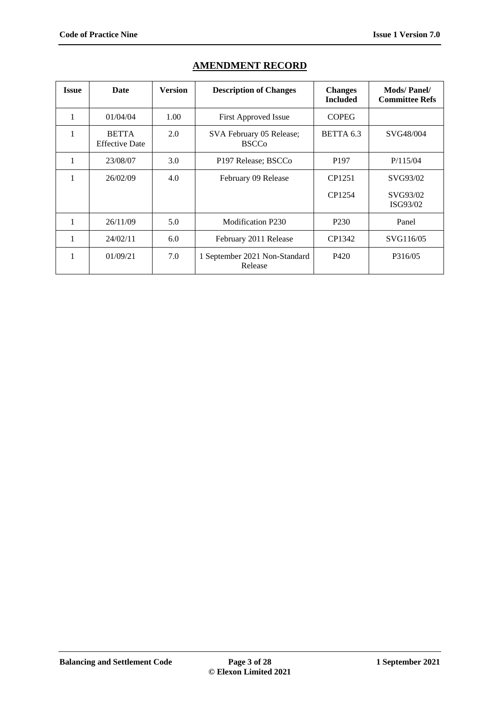| <b>Issue</b> | Date                                  | <b>Version</b> | <b>Description of Changes</b>               | <b>Changes</b><br><b>Included</b> | <b>Mods/Panel/</b><br><b>Committee Refs</b> |
|--------------|---------------------------------------|----------------|---------------------------------------------|-----------------------------------|---------------------------------------------|
| 1            | 01/04/04                              | 1.00           | <b>First Approved Issue</b>                 | <b>COPEG</b>                      |                                             |
| 1            | <b>BETTA</b><br><b>Effective Date</b> | 2.0            | SVA February 05 Release;<br><b>BSCCo</b>    | BETTA 6.3                         | SVG48/004                                   |
| 1            | 23/08/07                              | 3.0            | P <sub>197</sub> Release; BSCC <sub>0</sub> | P <sub>197</sub>                  | P/115/04                                    |
| 1            | 26/02/09                              | 4.0            | February 09 Release                         | CP1251                            | SVG93/02                                    |
|              |                                       |                |                                             | CP1254                            | SVG93/02<br>ISG93/02                        |
| 1            | 26/11/09                              | 5.0            | Modification P230                           | P <sub>230</sub>                  | Panel                                       |
| 1            | 24/02/11                              | 6.0            | February 2011 Release                       | CP1342                            | SVG116/05                                   |
| 1            | 01/09/21                              | 7.0            | 1 September 2021 Non-Standard<br>Release    | P420                              | P316/05                                     |

## **AMENDMENT RECORD**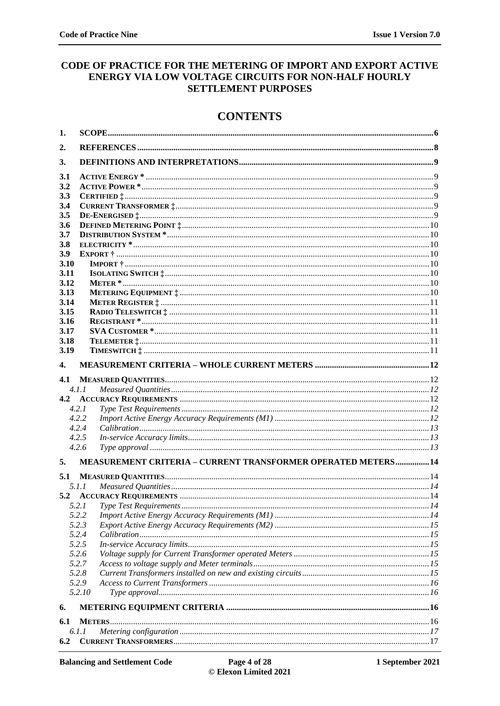### CODE OF PRACTICE FOR THE METERING OF IMPORT AND EXPORT ACTIVE ENERGY VIA LOW VOLTAGE CIRCUITS FOR NON-HALF HOURLY **SETTLEMENT PURPOSES**

# **CONTENTS**

| 1.          |                                                                      |  |
|-------------|----------------------------------------------------------------------|--|
| 2.          |                                                                      |  |
| 3.          |                                                                      |  |
|             |                                                                      |  |
| 3.1         |                                                                      |  |
| 3.2         |                                                                      |  |
| 3.3         |                                                                      |  |
| 3.4         |                                                                      |  |
| 3.5         |                                                                      |  |
| 3.6         |                                                                      |  |
| 3.7         |                                                                      |  |
| 3.8         |                                                                      |  |
| 3.9<br>3.10 |                                                                      |  |
| 3.11        |                                                                      |  |
| 3.12        |                                                                      |  |
| 3.13        |                                                                      |  |
| 3.14        |                                                                      |  |
| 3.15        |                                                                      |  |
| 3.16        |                                                                      |  |
| 3.17        |                                                                      |  |
| 3.18        |                                                                      |  |
| 3.19        |                                                                      |  |
|             |                                                                      |  |
| 4.          |                                                                      |  |
| 4.1         |                                                                      |  |
|             | 4.1.1                                                                |  |
| 4.2         |                                                                      |  |
|             | 4.2.1                                                                |  |
|             | 4.2.2                                                                |  |
|             | 4.2.4                                                                |  |
|             | 4.2.5                                                                |  |
|             | 4.2.6                                                                |  |
|             |                                                                      |  |
| 5.          | <b>MEASUREMENT CRITERIA - CURRENT TRANSFORMER OPERATED METERS 14</b> |  |
| 5.1         |                                                                      |  |
|             | 5.1.1                                                                |  |
|             |                                                                      |  |
|             |                                                                      |  |
|             | 5.2.2                                                                |  |
|             | 5.2.3                                                                |  |
|             | 5.2.4                                                                |  |
|             | 5.2.5                                                                |  |
|             | 5.2.6                                                                |  |
|             | 5.2.7                                                                |  |
|             | 5.2.8                                                                |  |
|             | 5.2.9                                                                |  |
|             | 5.2.10                                                               |  |
| 6.          |                                                                      |  |
| 6.1         |                                                                      |  |
|             | 6.1.1                                                                |  |
| 6.2         |                                                                      |  |
|             |                                                                      |  |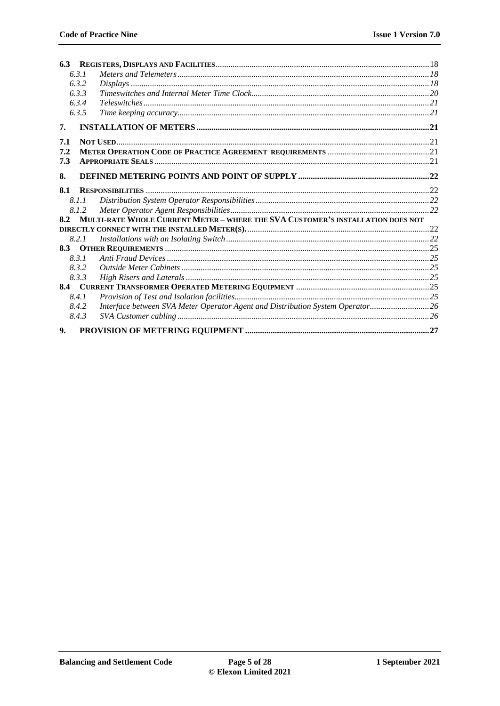|                | 6.3.1 |                                                                                 |  |
|----------------|-------|---------------------------------------------------------------------------------|--|
|                | 6.3.2 |                                                                                 |  |
|                | 6.3.3 |                                                                                 |  |
|                | 6.3.4 |                                                                                 |  |
|                | 6.3.5 |                                                                                 |  |
| 7.             |       |                                                                                 |  |
| 7.1            |       |                                                                                 |  |
| 7.2            |       |                                                                                 |  |
| 7.3            |       |                                                                                 |  |
| 8.             |       |                                                                                 |  |
| 8.1            |       |                                                                                 |  |
|                | 8.1.1 |                                                                                 |  |
|                | 8.1.2 |                                                                                 |  |
| 8.2            |       | MULTI-RATE WHOLE CURRENT METER - WHERE THE SVA CUSTOMER'S INSTALLATION DOES NOT |  |
|                |       |                                                                                 |  |
|                | 8.2.1 |                                                                                 |  |
| 8.3            |       |                                                                                 |  |
|                | 8.3.1 |                                                                                 |  |
|                | 8.3.2 |                                                                                 |  |
|                | 8.3.3 |                                                                                 |  |
|                |       |                                                                                 |  |
|                | 8.4.1 |                                                                                 |  |
|                | 8.4.2 | Interface between SVA Meter Operator Agent and Distribution System Operator 26  |  |
|                | 8.4.3 |                                                                                 |  |
| 9 <sub>1</sub> |       |                                                                                 |  |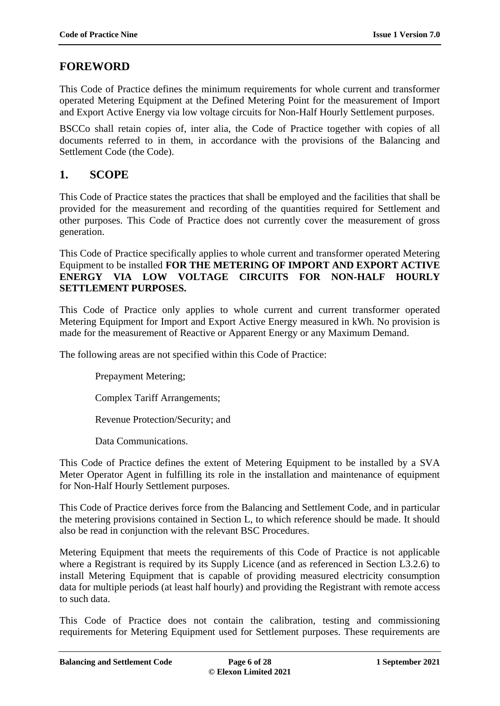# **FOREWORD**

This Code of Practice defines the minimum requirements for whole current and transformer operated Metering Equipment at the Defined Metering Point for the measurement of Import and Export Active Energy via low voltage circuits for Non-Half Hourly Settlement purposes.

BSCCo shall retain copies of, inter alia, the Code of Practice together with copies of all documents referred to in them, in accordance with the provisions of the Balancing and Settlement Code (the Code).

## <span id="page-5-0"></span>**1. SCOPE**

This Code of Practice states the practices that shall be employed and the facilities that shall be provided for the measurement and recording of the quantities required for Settlement and other purposes. This Code of Practice does not currently cover the measurement of gross generation.

This Code of Practice specifically applies to whole current and transformer operated Metering Equipment to be installed **FOR THE METERING OF IMPORT AND EXPORT ACTIVE ENERGY VIA LOW VOLTAGE CIRCUITS FOR NON-HALF HOURLY SETTLEMENT PURPOSES.**

This Code of Practice only applies to whole current and current transformer operated Metering Equipment for Import and Export Active Energy measured in kWh. No provision is made for the measurement of Reactive or Apparent Energy or any Maximum Demand.

The following areas are not specified within this Code of Practice:

Prepayment Metering;

Complex Tariff Arrangements;

Revenue Protection/Security; and

Data Communications.

This Code of Practice defines the extent of Metering Equipment to be installed by a SVA Meter Operator Agent in fulfilling its role in the installation and maintenance of equipment for Non-Half Hourly Settlement purposes.

This Code of Practice derives force from the Balancing and Settlement Code, and in particular the metering provisions contained in Section L, to which reference should be made. It should also be read in conjunction with the relevant BSC Procedures.

Metering Equipment that meets the requirements of this Code of Practice is not applicable where a Registrant is required by its Supply Licence (and as referenced in Section L3.2.6) to install Metering Equipment that is capable of providing measured electricity consumption data for multiple periods (at least half hourly) and providing the Registrant with remote access to such data.

This Code of Practice does not contain the calibration, testing and commissioning requirements for Metering Equipment used for Settlement purposes. These requirements are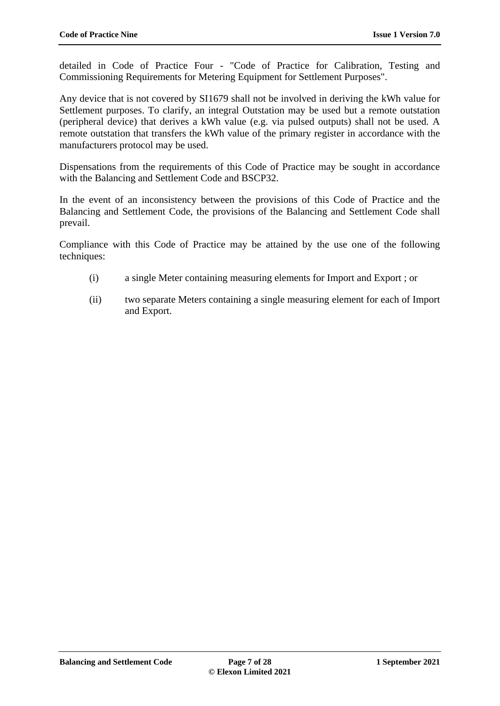detailed in Code of Practice Four - "Code of Practice for Calibration, Testing and Commissioning Requirements for Metering Equipment for Settlement Purposes".

Any device that is not covered by SI1679 shall not be involved in deriving the kWh value for Settlement purposes. To clarify, an integral Outstation may be used but a remote outstation (peripheral device) that derives a kWh value (e.g. via pulsed outputs) shall not be used. A remote outstation that transfers the kWh value of the primary register in accordance with the manufacturers protocol may be used.

Dispensations from the requirements of this Code of Practice may be sought in accordance with the Balancing and Settlement Code and BSCP32.

In the event of an inconsistency between the provisions of this Code of Practice and the Balancing and Settlement Code, the provisions of the Balancing and Settlement Code shall prevail.

Compliance with this Code of Practice may be attained by the use one of the following techniques:

- (i) a single Meter containing measuring elements for Import and Export ; or
- (ii) two separate Meters containing a single measuring element for each of Import and Export.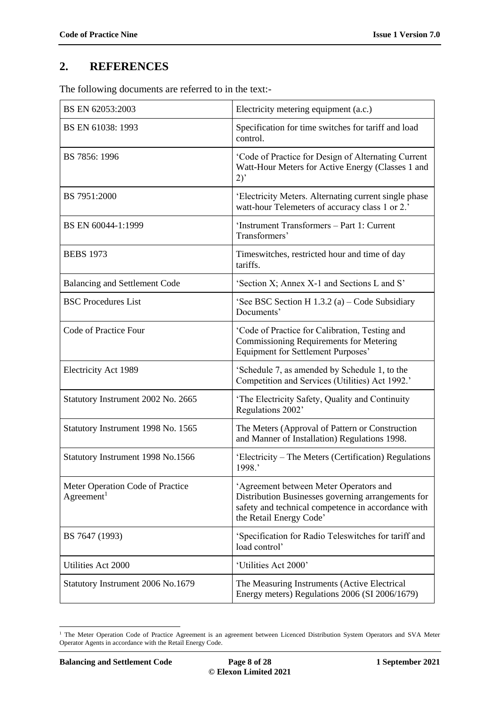# <span id="page-7-0"></span>**2. REFERENCES**

The following documents are referred to in the text:-

| BS EN 62053:2003                                           | Electricity metering equipment (a.c.)                                                                                                                                         |
|------------------------------------------------------------|-------------------------------------------------------------------------------------------------------------------------------------------------------------------------------|
| BS EN 61038: 1993                                          | Specification for time switches for tariff and load<br>control.                                                                                                               |
| BS 7856: 1996                                              | 'Code of Practice for Design of Alternating Current<br>Watt-Hour Meters for Active Energy (Classes 1 and<br>2)                                                                |
| BS 7951:2000                                               | 'Electricity Meters. Alternating current single phase<br>watt-hour Telemeters of accuracy class 1 or 2.'                                                                      |
| BS EN 60044-1:1999                                         | 'Instrument Transformers - Part 1: Current<br>Transformers'                                                                                                                   |
| <b>BEBS</b> 1973                                           | Timeswitches, restricted hour and time of day<br>tariffs.                                                                                                                     |
| <b>Balancing and Settlement Code</b>                       | 'Section X; Annex X-1 and Sections L and S'                                                                                                                                   |
| <b>BSC Procedures List</b>                                 | 'See BSC Section H $1.3.2$ (a) – Code Subsidiary<br>Documents'                                                                                                                |
| Code of Practice Four                                      | 'Code of Practice for Calibration, Testing and<br>Commissioning Requirements for Metering<br>Equipment for Settlement Purposes'                                               |
| Electricity Act 1989                                       | 'Schedule 7, as amended by Schedule 1, to the<br>Competition and Services (Utilities) Act 1992.'                                                                              |
| Statutory Instrument 2002 No. 2665                         | 'The Electricity Safety, Quality and Continuity<br>Regulations 2002'                                                                                                          |
| Statutory Instrument 1998 No. 1565                         | The Meters (Approval of Pattern or Construction<br>and Manner of Installation) Regulations 1998.                                                                              |
| Statutory Instrument 1998 No.1566                          | 'Electricity – The Meters (Certification) Regulations<br>1998.'                                                                                                               |
| Meter Operation Code of Practice<br>Agreement <sup>1</sup> | 'Agreement between Meter Operators and<br>Distribution Businesses governing arrangements for<br>safety and technical competence in accordance with<br>the Retail Energy Code' |
| BS 7647 (1993)                                             | 'Specification for Radio Teleswitches for tariff and<br>load control'                                                                                                         |
| Utilities Act 2000                                         | 'Utilities Act 2000'                                                                                                                                                          |
| Statutory Instrument 2006 No.1679                          | The Measuring Instruments (Active Electrical<br>Energy meters) Regulations 2006 (SI 2006/1679)                                                                                |

<sup>&</sup>lt;u>.</u> <sup>1</sup> The Meter Operation Code of Practice Agreement is an agreement between Licenced Distribution System Operators and SVA Meter Operator Agents in accordance with the Retail Energy Code.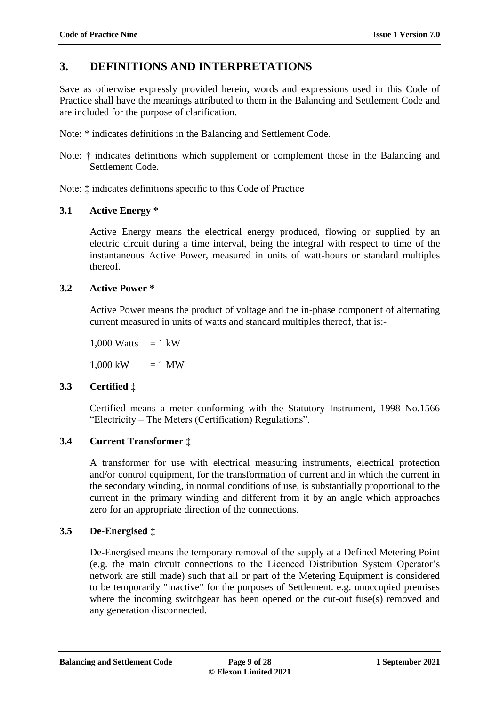# <span id="page-8-0"></span>**3. DEFINITIONS AND INTERPRETATIONS**

Save as otherwise expressly provided herein, words and expressions used in this Code of Practice shall have the meanings attributed to them in the Balancing and Settlement Code and are included for the purpose of clarification.

Note: \* indicates definitions in the Balancing and Settlement Code.

Note:  $\dagger$  indicates definitions which supplement or complement those in the Balancing and Settlement Code.

Note: ‡ indicates definitions specific to this Code of Practice

## <span id="page-8-1"></span>**3.1 Active Energy \***

Active Energy means the electrical energy produced, flowing or supplied by an electric circuit during a time interval, being the integral with respect to time of the instantaneous Active Power, measured in units of watt-hours or standard multiples thereof.

## <span id="page-8-2"></span>**3.2 Active Power \***

Active Power means the product of voltage and the in-phase component of alternating current measured in units of watts and standard multiples thereof, that is:-

1,000 Watts  $= 1$  kW

 $1,000 \text{ kW} = 1 \text{ MW}$ 

## <span id="page-8-3"></span>**3.3 Certified ‡**

Certified means a meter conforming with the Statutory Instrument, 1998 No.1566 "Electricity – The Meters (Certification) Regulations".

## <span id="page-8-4"></span>**3.4 Current Transformer ‡**

A transformer for use with electrical measuring instruments, electrical protection and/or control equipment, for the transformation of current and in which the current in the secondary winding, in normal conditions of use, is substantially proportional to the current in the primary winding and different from it by an angle which approaches zero for an appropriate direction of the connections.

## <span id="page-8-5"></span>**3.5 De-Energised ‡**

De-Energised means the temporary removal of the supply at a Defined Metering Point (e.g. the main circuit connections to the Licenced Distribution System Operator's network are still made) such that all or part of the Metering Equipment is considered to be temporarily "inactive" for the purposes of Settlement. e.g. unoccupied premises where the incoming switchgear has been opened or the cut-out fuse(s) removed and any generation disconnected.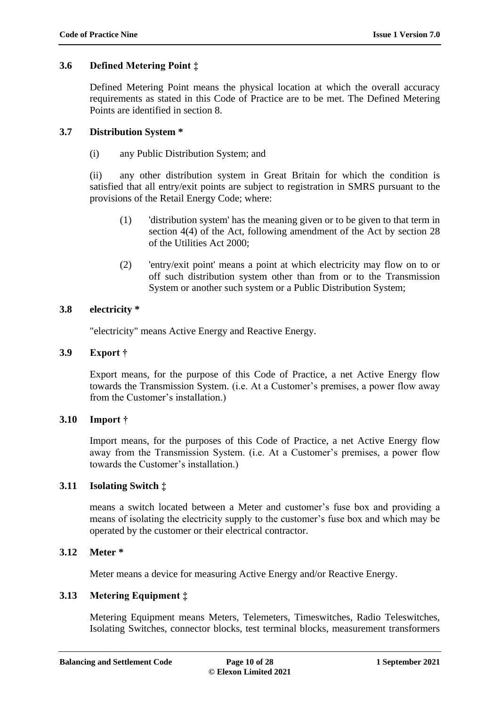### <span id="page-9-0"></span>**3.6 Defined Metering Point ‡**

Defined Metering Point means the physical location at which the overall accuracy requirements as stated in this Code of Practice are to be met. The Defined Metering Points are identified in section 8.

#### <span id="page-9-1"></span>**3.7 Distribution System \***

(i) any Public Distribution System; and

(ii) any other distribution system in Great Britain for which the condition is satisfied that all entry/exit points are subject to registration in SMRS pursuant to the provisions of the Retail Energy Code; where:

- (1) 'distribution system' has the meaning given or to be given to that term in section 4(4) of the Act, following amendment of the Act by section 28 of the Utilities Act 2000;
- (2) 'entry/exit point' means a point at which electricity may flow on to or off such distribution system other than from or to the Transmission System or another such system or a Public Distribution System;

## <span id="page-9-2"></span>**3.8 electricity \***

"electricity" means Active Energy and Reactive Energy.

#### <span id="page-9-3"></span>**3.9 Export †**

Export means, for the purpose of this Code of Practice, a net Active Energy flow towards the Transmission System. (i.e. At a Customer's premises, a power flow away from the Customer's installation.)

#### <span id="page-9-4"></span>**3.10 Import †**

Import means, for the purposes of this Code of Practice, a net Active Energy flow away from the Transmission System. (i.e. At a Customer's premises, a power flow towards the Customer's installation.)

#### <span id="page-9-5"></span>**3.11 Isolating Switch ‡**

means a switch located between a Meter and customer's fuse box and providing a means of isolating the electricity supply to the customer's fuse box and which may be operated by the customer or their electrical contractor.

## <span id="page-9-6"></span>**3.12 Meter \***

Meter means a device for measuring Active Energy and/or Reactive Energy.

## <span id="page-9-7"></span>**3.13 Metering Equipment ‡**

Metering Equipment means Meters, Telemeters, Timeswitches, Radio Teleswitches, Isolating Switches, connector blocks, test terminal blocks, measurement transformers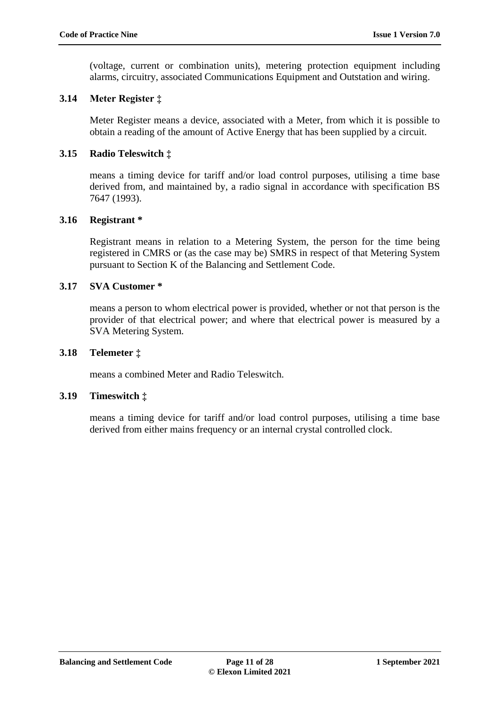(voltage, current or combination units), metering protection equipment including alarms, circuitry, associated Communications Equipment and Outstation and wiring.

## <span id="page-10-0"></span>**3.14 Meter Register ‡**

Meter Register means a device, associated with a Meter, from which it is possible to obtain a reading of the amount of Active Energy that has been supplied by a circuit.

## <span id="page-10-1"></span>**3.15 Radio Teleswitch ‡**

means a timing device for tariff and/or load control purposes, utilising a time base derived from, and maintained by, a radio signal in accordance with specification BS 7647 (1993).

#### <span id="page-10-2"></span>**3.16 Registrant \***

Registrant means in relation to a Metering System, the person for the time being registered in CMRS or (as the case may be) SMRS in respect of that Metering System pursuant to Section K of the Balancing and Settlement Code.

#### <span id="page-10-3"></span>**3.17 SVA Customer \***

means a person to whom electrical power is provided, whether or not that person is the provider of that electrical power; and where that electrical power is measured by a SVA Metering System.

#### <span id="page-10-4"></span>**3.18 Telemeter ‡**

means a combined Meter and Radio Teleswitch.

#### <span id="page-10-5"></span>**3.19 Timeswitch ‡**

means a timing device for tariff and/or load control purposes, utilising a time base derived from either mains frequency or an internal crystal controlled clock.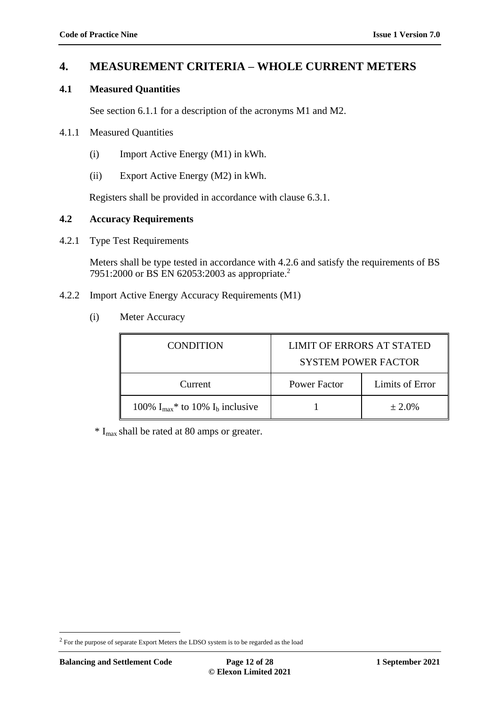## <span id="page-11-0"></span>**4. MEASUREMENT CRITERIA – WHOLE CURRENT METERS**

## <span id="page-11-1"></span>**4.1 Measured Quantities**

See section 6.1.1 for a description of the acronyms M1 and M2.

#### <span id="page-11-2"></span>4.1.1 Measured Quantities

- (i) Import Active Energy (M1) in kWh.
- (ii) Export Active Energy (M2) in kWh.

Registers shall be provided in accordance with clause 6.3.1.

### <span id="page-11-3"></span>**4.2 Accuracy Requirements**

<span id="page-11-4"></span>4.2.1 Type Test Requirements

Meters shall be type tested in accordance with 4.2.6 and satisfy the requirements of BS 7951:2000 or BS EN 62053:2003 as appropriate.<sup>2</sup>

- <span id="page-11-5"></span>4.2.2 Import Active Energy Accuracy Requirements (M1)
	- (i) Meter Accuracy

| <b>CONDITION</b>                                   | <b>LIMIT OF ERRORS AT STATED</b><br><b>SYSTEM POWER FACTOR</b> |                 |
|----------------------------------------------------|----------------------------------------------------------------|-----------------|
| Current                                            | Power Factor                                                   | Limits of Error |
| 100% $I_{max}$ <sup>*</sup> to 10% $I_b$ inclusive |                                                                | $\pm 2.0\%$     |

 $*$  I<sub>max</sub> shall be rated at 80 amps or greater.

1

 $2$  For the purpose of separate Export Meters the LDSO system is to be regarded as the load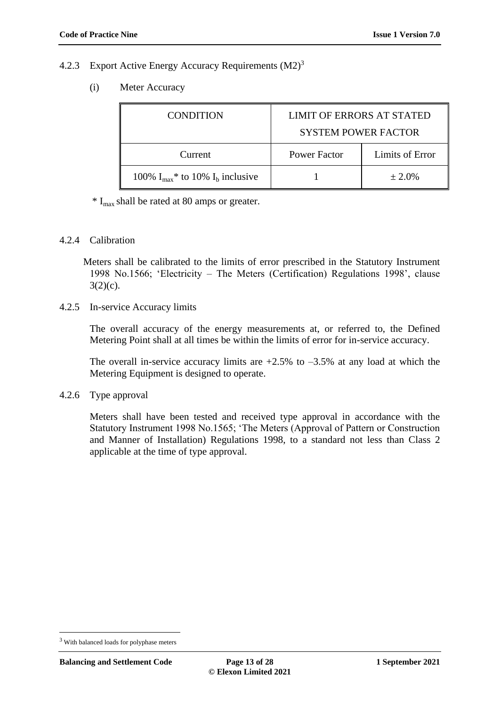#### 4.2.3 Export Active Energy Accuracy Requirements  $(M2)^3$

(i) Meter Accuracy

| <b>CONDITION</b>                                   | LIMIT OF ERRORS AT STATED<br><b>SYSTEM POWER FACTOR</b> |                 |
|----------------------------------------------------|---------------------------------------------------------|-----------------|
| Current                                            | Power Factor                                            | Limits of Error |
| 100% $I_{max}$ <sup>*</sup> to 10% $I_b$ inclusive |                                                         | $\pm 2.0\%$     |

 $*$  I<sub>max</sub> shall be rated at 80 amps or greater.

#### <span id="page-12-0"></span>4.2.4 Calibration

Meters shall be calibrated to the limits of error prescribed in the Statutory Instrument 1998 No.1566; 'Electricity – The Meters (Certification) Regulations 1998', clause  $3(2)(c)$ .

<span id="page-12-1"></span>4.2.5 In-service Accuracy limits

The overall accuracy of the energy measurements at, or referred to, the Defined Metering Point shall at all times be within the limits of error for in-service accuracy.

The overall in-service accuracy limits are  $+2.5\%$  to  $-3.5\%$  at any load at which the Metering Equipment is designed to operate.

<span id="page-12-2"></span>4.2.6 Type approval

Meters shall have been tested and received type approval in accordance with the Statutory Instrument 1998 No.1565; 'The Meters (Approval of Pattern or Construction and Manner of Installation) Regulations 1998, to a standard not less than Class 2 applicable at the time of type approval.

1

<sup>&</sup>lt;sup>3</sup> With balanced loads for polyphase meters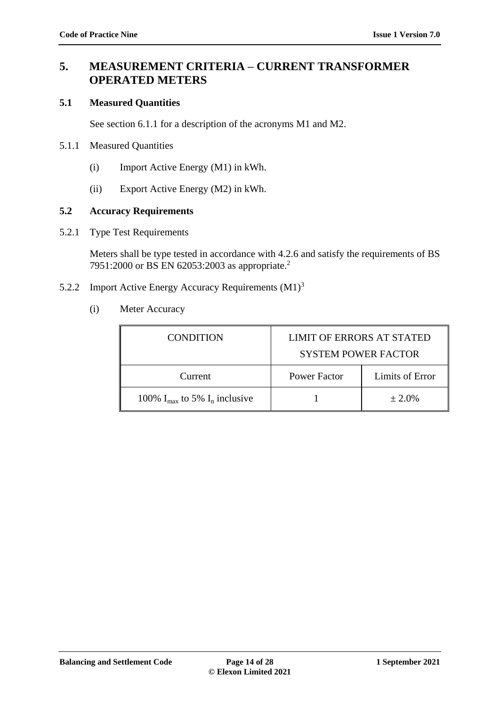# <span id="page-13-0"></span>**5. MEASUREMENT CRITERIA – CURRENT TRANSFORMER OPERATED METERS**

## <span id="page-13-1"></span>**5.1 Measured Quantities**

See section 6.1.1 for a description of the acronyms M1 and M2.

- <span id="page-13-2"></span>5.1.1 Measured Quantities
	- (i) Import Active Energy (M1) in kWh.
	- (ii) Export Active Energy (M2) in kWh.

## <span id="page-13-3"></span>**5.2 Accuracy Requirements**

<span id="page-13-4"></span>5.2.1 Type Test Requirements

Meters shall be type tested in accordance with 4.2.6 and satisfy the requirements of BS 7951:2000 or BS EN 62053:2003 as appropriate.<sup>2</sup>

- <span id="page-13-5"></span>5.2.2 Import Active Energy Accuracy Requirements (M1)<sup>3</sup>
	- (i) Meter Accuracy

| <b>CONDITION</b>                            | <b>LIMIT OF ERRORS AT STATED</b><br><b>SYSTEM POWER FACTOR</b> |                 |
|---------------------------------------------|----------------------------------------------------------------|-----------------|
| Current                                     | Power Factor                                                   | Limits of Error |
| 100% $I_{\text{max}}$ to 5% $I_n$ inclusive |                                                                | $\pm 2.0\%$     |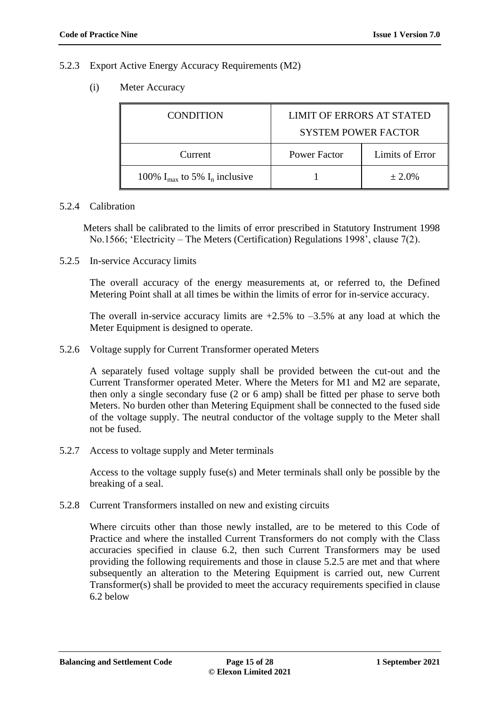#### <span id="page-14-0"></span>5.2.3 Export Active Energy Accuracy Requirements (M2)

(i) Meter Accuracy

| LIMIT OF ERRORS AT STATED<br><b>CONDITION</b><br><b>SYSTEM POWER FACTOR</b> |                     |                 |
|-----------------------------------------------------------------------------|---------------------|-----------------|
| Current                                                                     | <b>Power Factor</b> | Limits of Error |
| 100% $I_{\text{max}}$ to 5% $I_n$ inclusive                                 |                     | $\pm 2.0\%$     |

#### <span id="page-14-1"></span>5.2.4 Calibration

Meters shall be calibrated to the limits of error prescribed in Statutory Instrument 1998 No.1566; 'Electricity – The Meters (Certification) Regulations 1998', clause 7(2).

<span id="page-14-2"></span>5.2.5 In-service Accuracy limits

The overall accuracy of the energy measurements at, or referred to, the Defined Metering Point shall at all times be within the limits of error for in-service accuracy.

The overall in-service accuracy limits are  $+2.5\%$  to  $-3.5\%$  at any load at which the Meter Equipment is designed to operate.

<span id="page-14-3"></span>5.2.6 Voltage supply for Current Transformer operated Meters

A separately fused voltage supply shall be provided between the cut-out and the Current Transformer operated Meter. Where the Meters for M1 and M2 are separate, then only a single secondary fuse (2 or 6 amp) shall be fitted per phase to serve both Meters. No burden other than Metering Equipment shall be connected to the fused side of the voltage supply. The neutral conductor of the voltage supply to the Meter shall not be fused.

<span id="page-14-4"></span>5.2.7 Access to voltage supply and Meter terminals

Access to the voltage supply fuse(s) and Meter terminals shall only be possible by the breaking of a seal.

<span id="page-14-5"></span>5.2.8 Current Transformers installed on new and existing circuits

Where circuits other than those newly installed, are to be metered to this Code of Practice and where the installed Current Transformers do not comply with the Class accuracies specified in clause 6.2, then such Current Transformers may be used providing the following requirements and those in clause 5.2.5 are met and that where subsequently an alteration to the Metering Equipment is carried out, new Current Transformer(s) shall be provided to meet the accuracy requirements specified in clause 6.2 below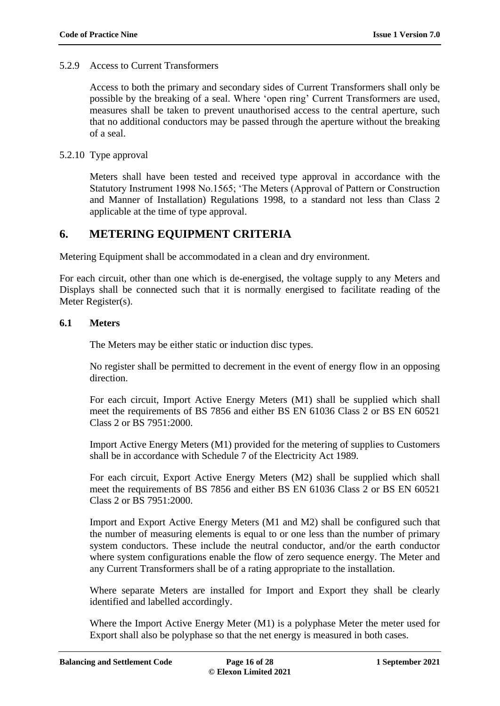#### <span id="page-15-0"></span>5.2.9 Access to Current Transformers

Access to both the primary and secondary sides of Current Transformers shall only be possible by the breaking of a seal. Where 'open ring' Current Transformers are used, measures shall be taken to prevent unauthorised access to the central aperture, such that no additional conductors may be passed through the aperture without the breaking of a seal.

### <span id="page-15-1"></span>5.2.10 Type approval

Meters shall have been tested and received type approval in accordance with the Statutory Instrument 1998 No.1565; 'The Meters (Approval of Pattern or Construction and Manner of Installation) Regulations 1998, to a standard not less than Class 2 applicable at the time of type approval.

## <span id="page-15-2"></span>**6. METERING EQUIPMENT CRITERIA**

Metering Equipment shall be accommodated in a clean and dry environment.

For each circuit, other than one which is de-energised, the voltage supply to any Meters and Displays shall be connected such that it is normally energised to facilitate reading of the Meter Register(s).

#### <span id="page-15-3"></span>**6.1 Meters**

The Meters may be either static or induction disc types.

No register shall be permitted to decrement in the event of energy flow in an opposing direction.

For each circuit, Import Active Energy Meters (M1) shall be supplied which shall meet the requirements of BS 7856 and either BS EN 61036 Class 2 or BS EN 60521 Class 2 or BS 7951:2000.

Import Active Energy Meters (M1) provided for the metering of supplies to Customers shall be in accordance with Schedule 7 of the Electricity Act 1989.

For each circuit, Export Active Energy Meters (M2) shall be supplied which shall meet the requirements of BS 7856 and either BS EN 61036 Class 2 or BS EN 60521 Class 2 or BS 7951:2000.

Import and Export Active Energy Meters (M1 and M2) shall be configured such that the number of measuring elements is equal to or one less than the number of primary system conductors. These include the neutral conductor, and/or the earth conductor where system configurations enable the flow of zero sequence energy. The Meter and any Current Transformers shall be of a rating appropriate to the installation.

Where separate Meters are installed for Import and Export they shall be clearly identified and labelled accordingly.

Where the Import Active Energy Meter (M1) is a polyphase Meter the meter used for Export shall also be polyphase so that the net energy is measured in both cases.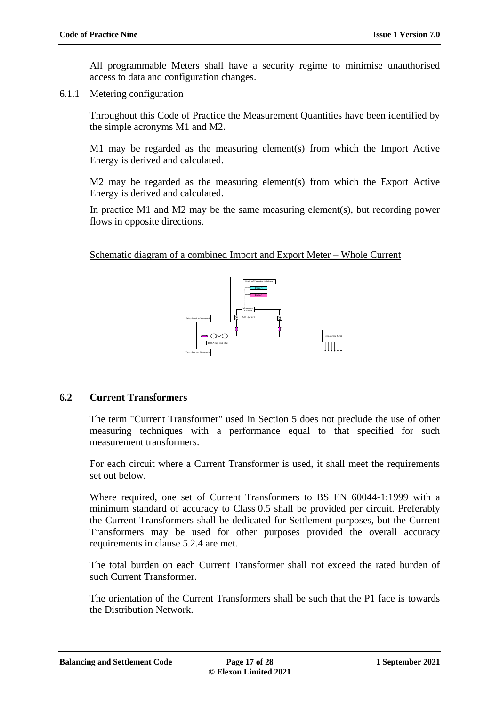All programmable Meters shall have a security regime to minimise unauthorised access to data and configuration changes.

<span id="page-16-0"></span>6.1.1 Metering configuration

Throughout this Code of Practice the Measurement Quantities have been identified by the simple acronyms M1 and M2.

M1 may be regarded as the measuring element(s) from which the Import Active Energy is derived and calculated.

M2 may be regarded as the measuring element(s) from which the Export Active Energy is derived and calculated.

In practice M1 and M2 may be the same measuring element(s), but recording power flows in opposite directions.

Schematic diagram of a combined Import and Export Meter – Whole Current



## <span id="page-16-1"></span>**6.2 Current Transformers**

The term "Current Transformer" used in Section 5 does not preclude the use of other measuring techniques with a performance equal to that specified for such measurement transformers.

For each circuit where a Current Transformer is used, it shall meet the requirements set out below.

Where required, one set of Current Transformers to BS EN 60044-1:1999 with a minimum standard of accuracy to Class 0.5 shall be provided per circuit. Preferably the Current Transformers shall be dedicated for Settlement purposes, but the Current Transformers may be used for other purposes provided the overall accuracy requirements in clause 5.2.4 are met.

The total burden on each Current Transformer shall not exceed the rated burden of such Current Transformer.

The orientation of the Current Transformers shall be such that the P1 face is towards the Distribution Network.

**Balancing and Settlement Code Page 17 of 28 1 September 2021**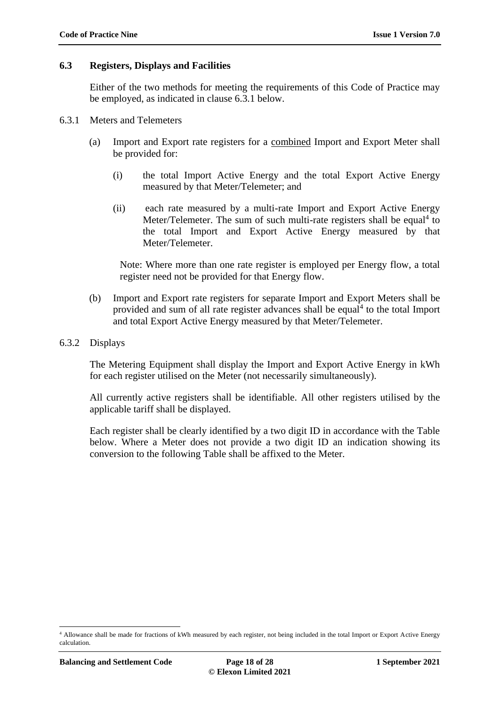#### <span id="page-17-0"></span>**6.3 Registers, Displays and Facilities**

Either of the two methods for meeting the requirements of this Code of Practice may be employed, as indicated in clause 6.3.1 below.

- <span id="page-17-1"></span>6.3.1 Meters and Telemeters
	- (a) Import and Export rate registers for a combined Import and Export Meter shall be provided for:
		- (i) the total Import Active Energy and the total Export Active Energy measured by that Meter/Telemeter; and
		- (ii) each rate measured by a multi-rate Import and Export Active Energy Meter/Telemeter. The sum of such multi-rate registers shall be equal<sup>4</sup> to the total Import and Export Active Energy measured by that Meter/Telemeter.

<span id="page-17-3"></span>Note: Where more than one rate register is employed per Energy flow, a total register need not be provided for that Energy flow.

- (b) Import and Export rate registers for separate Import and Export Meters shall be provided and sum of all rate register advances shall be equal<sup>[4](#page-17-3)</sup> to the total Import and total Export Active Energy measured by that Meter/Telemeter.
- <span id="page-17-2"></span>6.3.2 Displays

The Metering Equipment shall display the Import and Export Active Energy in kWh for each register utilised on the Meter (not necessarily simultaneously).

All currently active registers shall be identifiable. All other registers utilised by the applicable tariff shall be displayed.

Each register shall be clearly identified by a two digit ID in accordance with the Table below. Where a Meter does not provide a two digit ID an indication showing its conversion to the following Table shall be affixed to the Meter.

<u>.</u>

<sup>4</sup> Allowance shall be made for fractions of kWh measured by each register, not being included in the total Import or Export Active Energy calculation.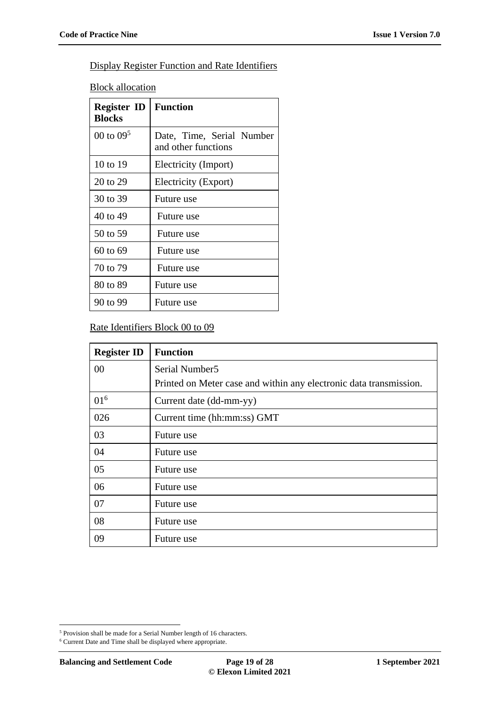## Display Register Function and Rate Identifiers

**Block allocation** 

<span id="page-18-0"></span>

| <b>Register ID</b><br><b>Blocks</b> | <b>Function</b>                                  |
|-------------------------------------|--------------------------------------------------|
| 00 to $09^5$                        | Date, Time, Serial Number<br>and other functions |
| 10 to 19                            | Electricity (Import)                             |
| 20 to 29                            | Electricity (Export)                             |
| 30 to 39                            | Future use                                       |
| 40 to 49                            | Future use                                       |
| 50 to 59                            | Future use                                       |
| 60 to 69                            | Future use                                       |
| 70 to 79                            | Future use                                       |
| 80 to 89                            | Future use                                       |
| 90 to 99                            | Future use                                       |

## Rate Identifiers Block 00 to 09

<span id="page-18-1"></span>

| <b>Register ID</b> | <b>Function</b>                                                    |
|--------------------|--------------------------------------------------------------------|
| 00                 | Serial Number <sub>5</sub>                                         |
|                    | Printed on Meter case and within any electronic data transmission. |
| $01^6$             | Current date (dd-mm-yy)                                            |
| 026                | Current time (hh:mm:ss) GMT                                        |
| 03                 | Future use                                                         |
| 04                 | Future use                                                         |
| 05                 | Future use                                                         |
| 06                 | Future use                                                         |
| 07                 | Future use                                                         |
| 08                 | Future use                                                         |
| 09                 | Future use                                                         |

<sup>1</sup>  $^5$  Provision shall be made for a Serial Number length of 16 characters.

 $^{\rm 6}$  Current Date and Time shall be displayed where appropriate.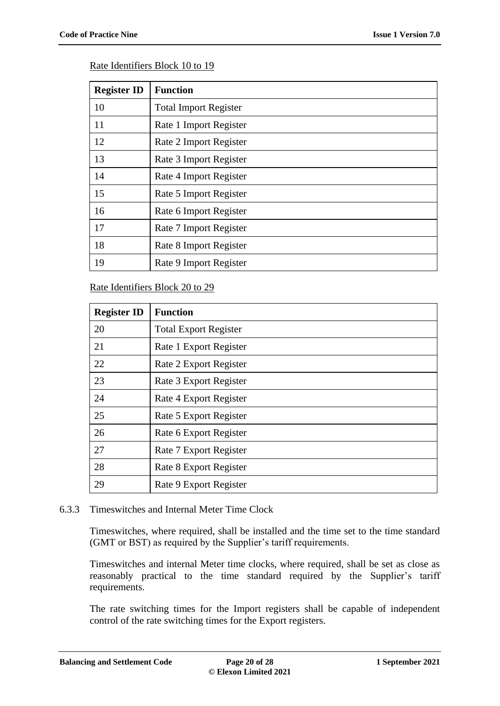### Rate Identifiers Block 10 to 19

| <b>Register ID</b> | <b>Function</b>              |
|--------------------|------------------------------|
| 10                 | <b>Total Import Register</b> |
| 11                 | Rate 1 Import Register       |
| 12                 | Rate 2 Import Register       |
| 13                 | Rate 3 Import Register       |
| 14                 | Rate 4 Import Register       |
| 15                 | Rate 5 Import Register       |
| 16                 | Rate 6 Import Register       |
| 17                 | Rate 7 Import Register       |
| 18                 | Rate 8 Import Register       |
| 19                 | Rate 9 Import Register       |

#### Rate Identifiers Block 20 to 29

| <b>Register ID</b> | <b>Function</b>              |
|--------------------|------------------------------|
| 20                 | <b>Total Export Register</b> |
| 21                 | Rate 1 Export Register       |
| 22                 | Rate 2 Export Register       |
| 23                 | Rate 3 Export Register       |
| 24                 | Rate 4 Export Register       |
| 25                 | Rate 5 Export Register       |
| 26                 | Rate 6 Export Register       |
| 27                 | Rate 7 Export Register       |
| 28                 | Rate 8 Export Register       |
| 29                 | Rate 9 Export Register       |

#### <span id="page-19-0"></span>6.3.3 Timeswitches and Internal Meter Time Clock

Timeswitches, where required, shall be installed and the time set to the time standard (GMT or BST) as required by the Supplier's tariff requirements.

Timeswitches and internal Meter time clocks, where required, shall be set as close as reasonably practical to the time standard required by the Supplier's tariff requirements.

The rate switching times for the Import registers shall be capable of independent control of the rate switching times for the Export registers.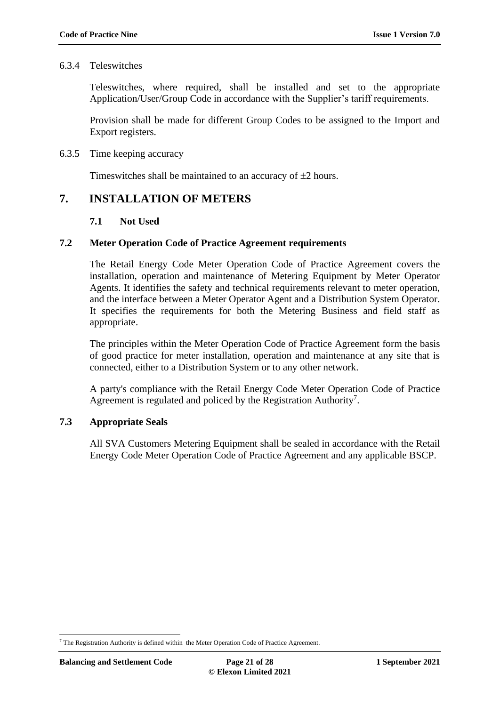#### <span id="page-20-0"></span>6.3.4 Teleswitches

Teleswitches, where required, shall be installed and set to the appropriate Application/User/Group Code in accordance with the Supplier's tariff requirements.

Provision shall be made for different Group Codes to be assigned to the Import and Export registers.

#### <span id="page-20-1"></span>6.3.5 Time keeping accuracy

Timeswitches shall be maintained to an accuracy of  $\pm 2$  hours.

## <span id="page-20-3"></span><span id="page-20-2"></span>**7. INSTALLATION OF METERS**

#### **7.1 Not Used**

#### <span id="page-20-4"></span>**7.2 Meter Operation Code of Practice Agreement requirements**

The Retail Energy Code Meter Operation Code of Practice Agreement covers the installation, operation and maintenance of Metering Equipment by Meter Operator Agents. It identifies the safety and technical requirements relevant to meter operation, and the interface between a Meter Operator Agent and a Distribution System Operator. It specifies the requirements for both the Metering Business and field staff as appropriate.

The principles within the Meter Operation Code of Practice Agreement form the basis of good practice for meter installation, operation and maintenance at any site that is connected, either to a Distribution System or to any other network.

A party's compliance with the Retail Energy Code Meter Operation Code of Practice Agreement is regulated and policed by the Registration Authority<sup>7</sup>.

## <span id="page-20-5"></span>**7.3 Appropriate Seals**

All SVA Customers Metering Equipment shall be sealed in accordance with the Retail Energy Code Meter Operation Code of Practice Agreement and any applicable BSCP.

1

 $7$  The Registration Authority is defined within the Meter Operation Code of Practice Agreement.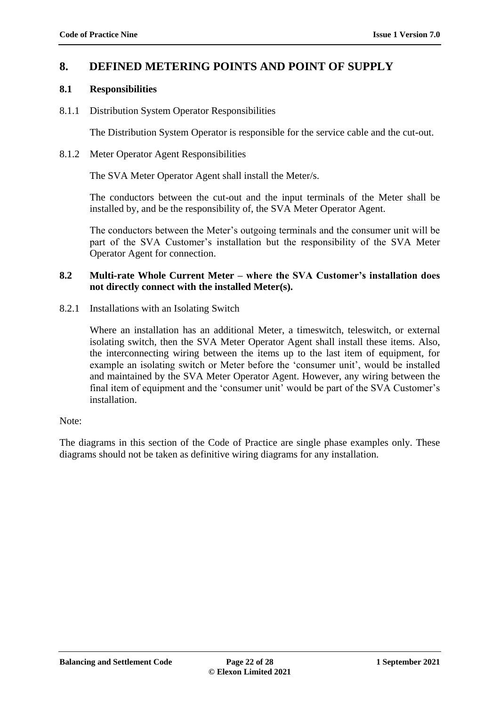## <span id="page-21-0"></span>**8. DEFINED METERING POINTS AND POINT OF SUPPLY**

## <span id="page-21-1"></span>**8.1 Responsibilities**

<span id="page-21-2"></span>8.1.1 Distribution System Operator Responsibilities

The Distribution System Operator is responsible for the service cable and the cut-out.

<span id="page-21-3"></span>8.1.2 Meter Operator Agent Responsibilities

The SVA Meter Operator Agent shall install the Meter/s.

The conductors between the cut-out and the input terminals of the Meter shall be installed by, and be the responsibility of, the SVA Meter Operator Agent.

The conductors between the Meter's outgoing terminals and the consumer unit will be part of the SVA Customer's installation but the responsibility of the SVA Meter Operator Agent for connection.

### <span id="page-21-4"></span>**8.2 Multi-rate Whole Current Meter – where the SVA Customer's installation does not directly connect with the installed Meter(s).**

<span id="page-21-5"></span>8.2.1 Installations with an Isolating Switch

Where an installation has an additional Meter, a timeswitch, teleswitch, or external isolating switch, then the SVA Meter Operator Agent shall install these items. Also, the interconnecting wiring between the items up to the last item of equipment, for example an isolating switch or Meter before the 'consumer unit', would be installed and maintained by the SVA Meter Operator Agent. However, any wiring between the final item of equipment and the 'consumer unit' would be part of the SVA Customer's installation.

#### Note:

The diagrams in this section of the Code of Practice are single phase examples only. These diagrams should not be taken as definitive wiring diagrams for any installation.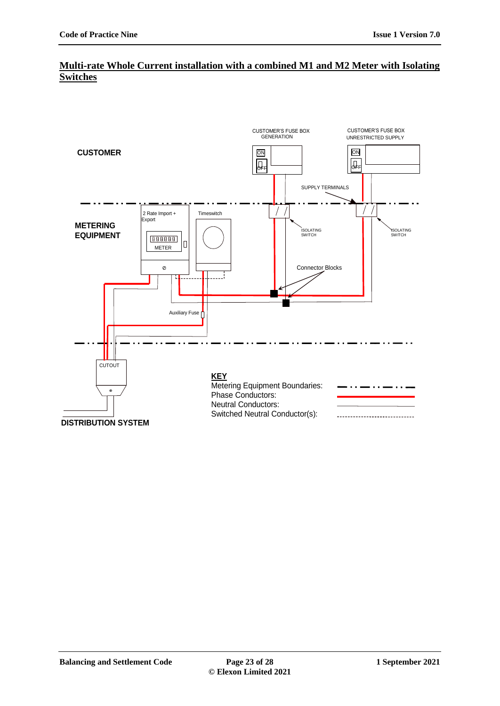## **Multi-rate Whole Current installation with a combined M1 and M2 Meter with Isolating Switches**

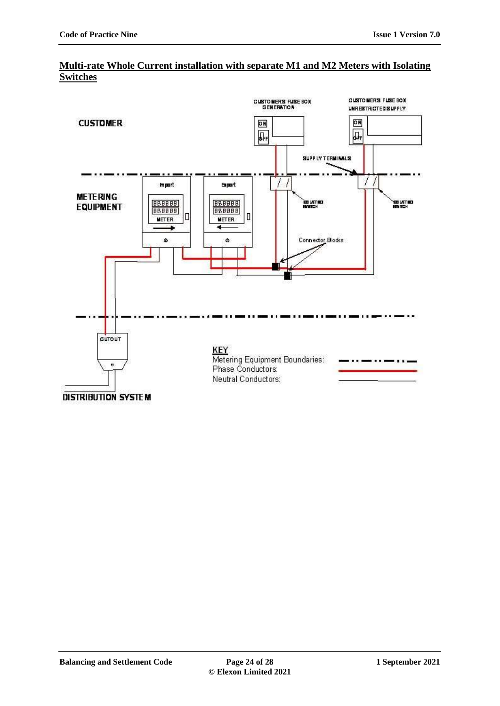

#### **Multi-rate Whole Current installation with separate M1 and M2 Meters with Isolating Switches**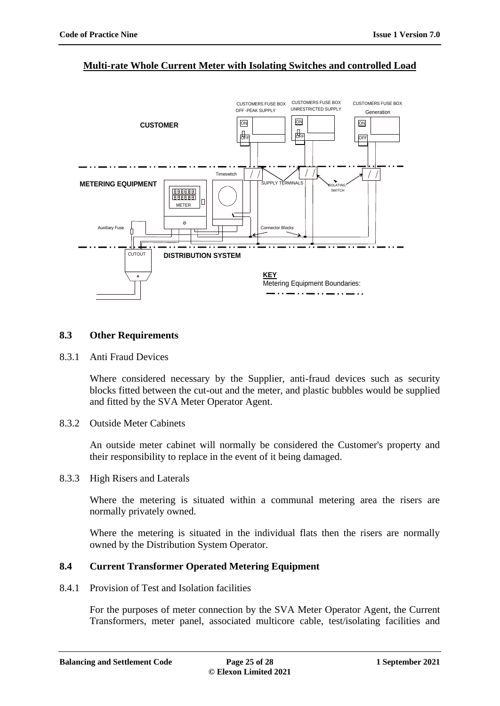#### **Multi-rate Whole Current Meter with Isolating Switches and controlled Load**



#### <span id="page-24-0"></span>**8.3 Other Requirements**

<span id="page-24-1"></span>8.3.1 Anti Fraud Devices

Where considered necessary by the Supplier, anti-fraud devices such as security blocks fitted between the cut-out and the meter, and plastic bubbles would be supplied and fitted by the SVA Meter Operator Agent.

<span id="page-24-2"></span>8.3.2 Outside Meter Cabinets

An outside meter cabinet will normally be considered the Customer's property and their responsibility to replace in the event of it being damaged.

<span id="page-24-3"></span>8.3.3 High Risers and Laterals

Where the metering is situated within a communal metering area the risers are normally privately owned.

Where the metering is situated in the individual flats then the risers are normally owned by the Distribution System Operator.

### <span id="page-24-4"></span>**8.4 Current Transformer Operated Metering Equipment**

<span id="page-24-5"></span>8.4.1 Provision of Test and Isolation facilities

For the purposes of meter connection by the SVA Meter Operator Agent, the Current Transformers, meter panel, associated multicore cable, test/isolating facilities and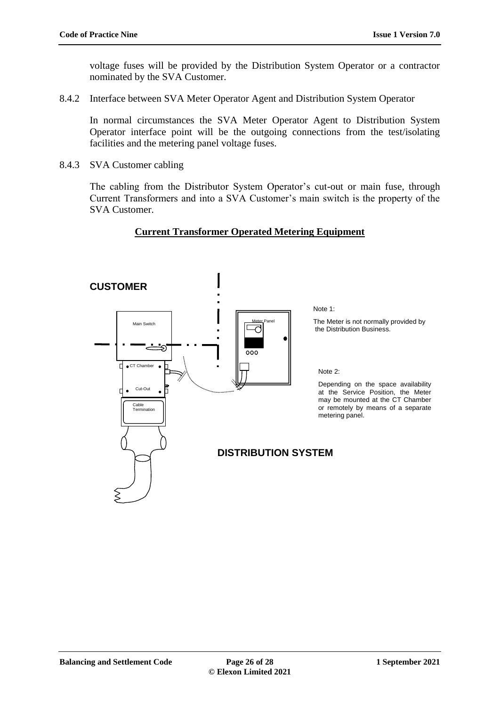voltage fuses will be provided by the Distribution System Operator or a contractor nominated by the SVA Customer.

<span id="page-25-0"></span>8.4.2 Interface between SVA Meter Operator Agent and Distribution System Operator

In normal circumstances the SVA Meter Operator Agent to Distribution System Operator interface point will be the outgoing connections from the test/isolating facilities and the metering panel voltage fuses.

<span id="page-25-1"></span>8.4.3 SVA Customer cabling

The cabling from the Distributor System Operator's cut-out or main fuse, through Current Transformers and into a SVA Customer's main switch is the property of the SVA Customer.

## **Current Transformer Operated Metering Equipment**

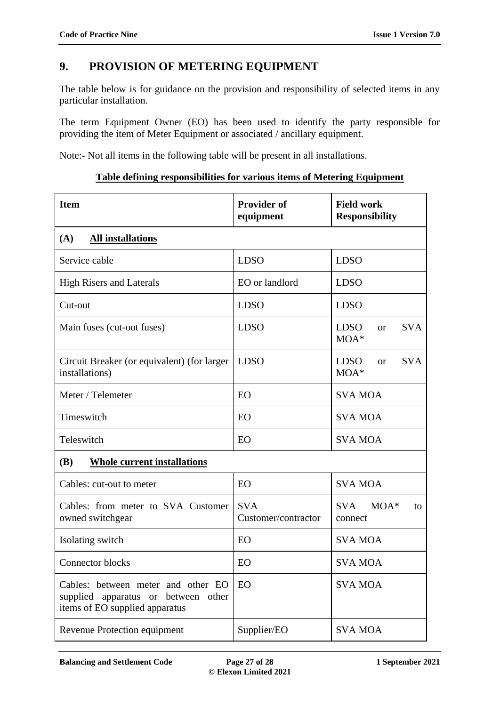# <span id="page-26-0"></span>**9. PROVISION OF METERING EQUIPMENT**

The table below is for guidance on the provision and responsibility of selected items in any particular installation.

The term Equipment Owner (EO) has been used to identify the party responsible for providing the item of Meter Equipment or associated / ancillary equipment.

Note:- Not all items in the following table will be present in all installations.

#### **Table defining responsibilities for various items of Metering Equipment**

| <b>Item</b>                                                                                                 | <b>Provider of</b><br>equipment   | <b>Field work</b><br><b>Responsibility</b>       |  |  |
|-------------------------------------------------------------------------------------------------------------|-----------------------------------|--------------------------------------------------|--|--|
| (A)<br><b>All installations</b>                                                                             |                                   |                                                  |  |  |
| Service cable                                                                                               | <b>LDSO</b>                       | <b>LDSO</b>                                      |  |  |
| <b>High Risers and Laterals</b>                                                                             | EO or landlord                    | <b>LDSO</b>                                      |  |  |
| Cut-out                                                                                                     | <b>LDSO</b>                       | <b>LDSO</b>                                      |  |  |
| Main fuses (cut-out fuses)                                                                                  | <b>LDSO</b>                       | <b>LDSO</b><br>SVA<br>$\alpha$<br>$MOA^*$        |  |  |
| Circuit Breaker (or equivalent) (for larger<br>installations)                                               | <b>LDSO</b>                       | <b>LDSO</b><br><b>SVA</b><br>$\alpha$<br>$MOA^*$ |  |  |
| Meter / Telemeter                                                                                           | EO                                | <b>SVA MOA</b>                                   |  |  |
| Timeswitch                                                                                                  | EO                                | <b>SVA MOA</b>                                   |  |  |
| Teleswitch                                                                                                  | EO                                | <b>SVA MOA</b>                                   |  |  |
| <b>(B)</b><br><b>Whole current installations</b>                                                            |                                   |                                                  |  |  |
| Cables: cut-out to meter                                                                                    | EO                                | <b>SVA MOA</b>                                   |  |  |
| Cables: from meter to SVA Customer<br>owned switchgear                                                      | <b>SVA</b><br>Customer/contractor | <b>SVA</b><br>$MOA^*$<br>to<br>connect           |  |  |
| Isolating switch                                                                                            | EO                                | <b>SVA MOA</b>                                   |  |  |
| <b>Connector blocks</b>                                                                                     | EO                                | <b>SVA MOA</b>                                   |  |  |
| Cables: between meter and other EO<br>supplied apparatus or between other<br>items of EO supplied apparatus | EO                                | <b>SVA MOA</b>                                   |  |  |
| Revenue Protection equipment                                                                                | Supplier/EO                       | <b>SVA MOA</b>                                   |  |  |